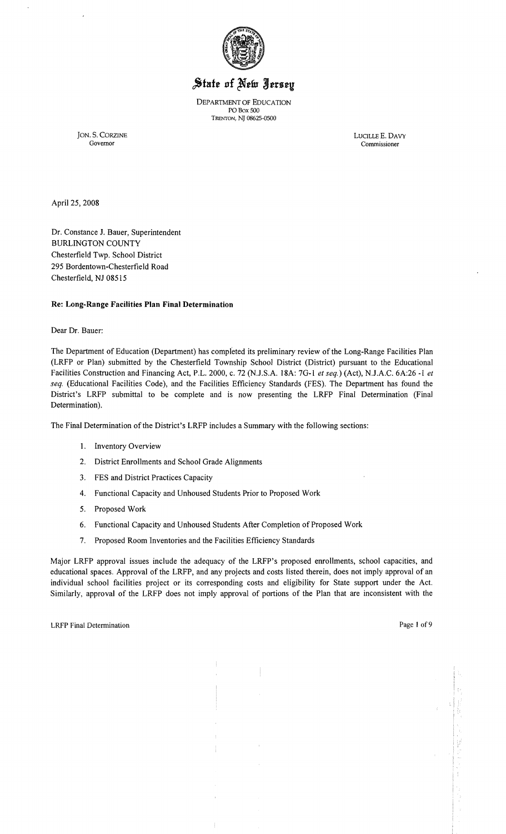

# State of New Jersey

DEPARTMENT OF EDUCATION POBox 500 TRENTON, NT 08625-0500

JON. S. CORZINE LUCILLE E. DAVY

Commissioner

April 25, 2008

Dr. Constance 1. Bauer, Superintendent BURLINGTON COUNTY Chesterfield Twp. School District 295 Bordentown-Chesterfield Road Chesterfield, NJ 08515

## **Re: Long-Range Facilities Plan Final Determination**

Dear Dr. Bauer:

The Department of Education (Department) has completed its preliminary review of the Long-Range Facilities Plan (LRFP or Plan) submitted by the Chesterfield Township School District (District) pursuant to the Educational Facilities Construction and Financing Act, P.L. 2000, c. 72 (NJ.S.A. 18A: 7G-l *et seq.)* (Act), NJ.A.C. 6A:26 -1 *et seq.* (Educational Facilities Code), and the Facilities Efficiency Standards (FES). The Department has found the District's LRFP submittal to be complete and is now presenting the LRFP Final Determination (Final Determination).

The Final Determination of the District's LRFP includes a Summary with the following sections:

- 1. Inventory Overview
- 2. District Enrollments and School Grade Alignments
- 3. FES and District Practices Capacity
- 4. Functional Capacity and Unhoused Students Prior to Proposed Work
- 5. Proposed Work
- 6. Functional Capacity and Unhoused Students After Completion of Proposed Work
- 7. Proposed Room Inventories and the Facilities Efficiency Standards

Major LRFP approval issues include the adequacy of the LRFP's proposed enrollments, school capacities, and educational spaces. Approval of the LRFP, and any projects and costs listed therein, does not imply approval of an individual school facilities project or its corresponding costs and eligibility for State support under the Act. Similarly, approval of the LRFP does not imply approval of portions of the Plan that are inconsistent with the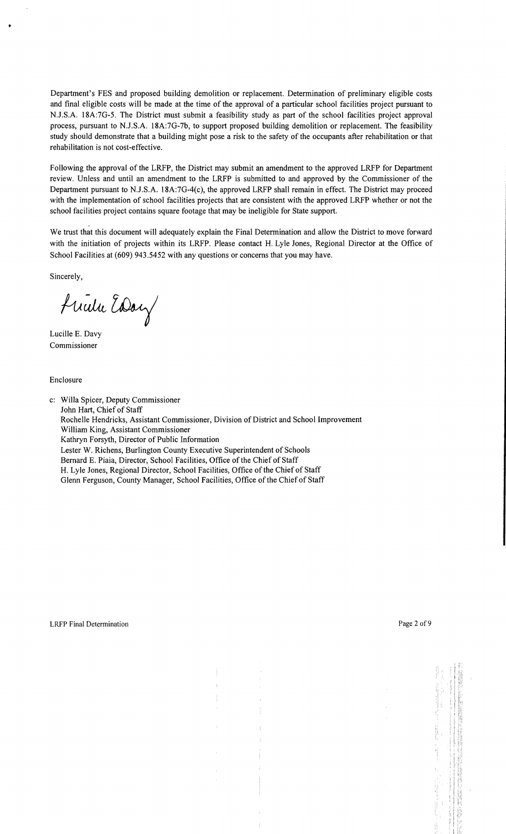Department's FES and proposed building demolition or replacement. Determination of preliminary eligible costs and final eligible costs will be made at the time of the approval of a particular school facilities project pursuant to NJ.S.A. 18A:7G-5. The District must submit a feasibility study as part of the school facilities project approval process, pursuant to NJ.S.A. 18A:7G-7b, to support proposed building demolition or replacement. The feasibility study should demonstrate that a building might pose a risk to the safety of the occupants after rehabilitation or that rehabilitation is not cost-effective.

Following the approval of the LRFP, the District may submit an amendment to the approved LRFP for Department review. Unless and until an amendment to the LRFP is submitted to and approved by the Commissioner of the Department pursuant to NJ.S.A. 18A:7G-4(c), the approved LRFP shall remain in effect. The District may proceed with the implementation of school facilities projects that are consistent with the approved LRFP whether or not the school facilities project contains square footage that may be ineligible for State support.

We trust that this document will adequately explain the Final Determination and allow the District to move forward with the initiation of projects within its LRFP. Please contact H. Lyle Jones, Regional Director at the Office of School Facilities at (609) 943.5452 with any questions or concerns that you may have.

Sincerely,

Frida Eday

Lucille E. Davy Commissioner

Enclosure

c: Willa Spicer, Deputy Commissioner John Hart, Chief of Staff Rochelle Hendricks, Assistant Commissioner, Division of District and School Improvement William King, Assistant Commissioner Kathryn Forsyth, Director of Public Information Lester W. Richens, Burlington County Executive Superintendent of Schools Bernard E. Piaia, Director, School Facilities, Office of the Chief of Staff H. Lyle Jones, Regional Director, School Facilities, Office of the Chief of Staff Glenn Ferguson, County Manager, School Facilities, Office of the Chief of Staff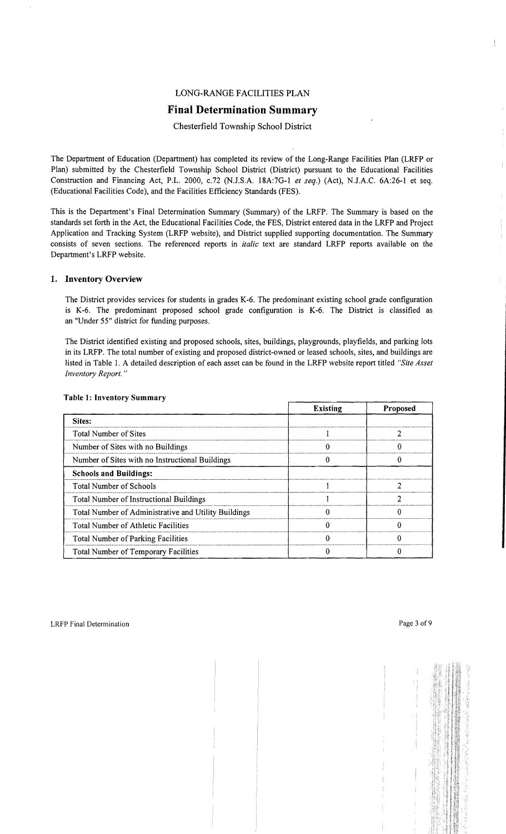## LONG-RANGE FACILITIES PLAN

## **Final Determination Summary**

## Chesterfield Township School District

The Department of Education (Department) has completed its review of the Long-Range Facilities Plan (LRFP or Plan) submitted by the Chesterfield Township School District (District) pursuant to the Educational Facilities Construction and Financing Act, P.L. 2000, c.72 (N.J.S.A. 18A:7G-I *et seq.)* (Act), N.J.A.C. 6A:26-1 et seq. (Educational Facilities Code), and the Facilities Efficiency Standards (FES).

This is the Department's Final Determination Summary (Summary) of the LRFP. The Summary is based on the standards set forth in the Act, the Educational Facilities Code, the FES, District entered data in the LRFP and Project Application and Tracking System (LRFP website), and District supplied supporting documentation. The Summary consists of seven sections. The referenced reports in *italic* text are standard LRFP reports available on the Department's LRFP website.

#### 1. Inventory Overview

The District provides services for students in grades K-6. The predominant existing school grade configuration is K-6. The predominant proposed school grade configuration is K-6. The District is classified as an "Under 55" district for funding purposes.

The District identified existing and proposed schools, sites, buildings, playgrounds, playfields, and parking lots in its LRFP. The total number of existing and proposed district-owned or leased schools, sites, and buildings are listed in Table I. A detailed description of each asset can be found in the LRFP website report titled *"Site Asset Inventory Report. "* 

|                                                      | <b>Existing</b> | Proposed |
|------------------------------------------------------|-----------------|----------|
| Sites:                                               |                 |          |
| Total Number of Sites                                |                 |          |
| Number of Sites with no Buildings                    |                 |          |
| Number of Sites with no Instructional Buildings      |                 |          |
| <b>Schools and Buildings:</b>                        |                 |          |
| <b>Total Number of Schools</b>                       |                 |          |
| <b>Total Number of Instructional Buildings</b>       |                 |          |
| Total Number of Administrative and Utility Buildings |                 | Ω        |
| Total Number of Athletic Facilities                  |                 |          |
| Total Number of Parking Facilities                   |                 |          |
| <b>Total Number of Temporary Facilities</b>          |                 |          |

#### Table 1: Inventory Summary

 $\mathfrak{f}$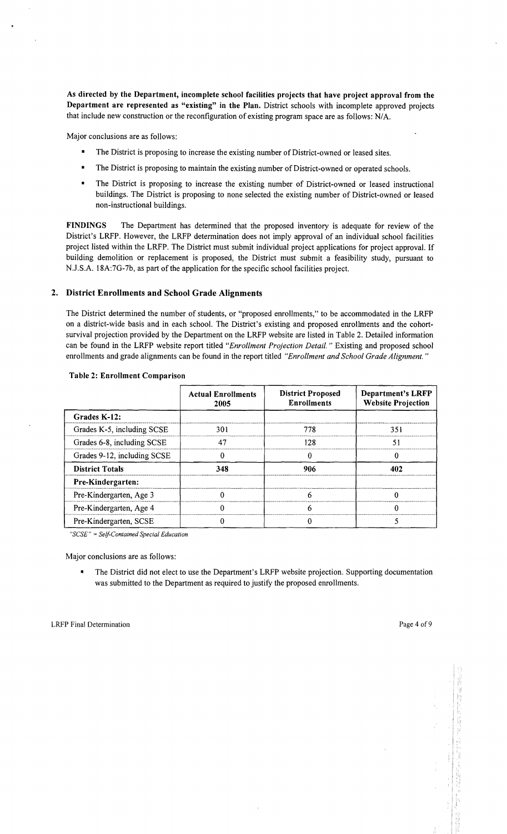As directed by the Department, incomplete school facilities projects that have project approval from the Department are represented as "existing" in the Plan. District schools with incomplete approved projects that include new construction or the reconfiguration of existing program space are as follows: N/A.

Major conclusions are as follows:

- The District is proposing to increase the existing number of District-owned or leased sites.
- The District is proposing to maintain the existing number of District-owned or operated schools.
- The District is proposing to increase the existing number of District-owned or leased instructional buildings. The District is proposing to none selected the existing number of District-owned or leased non-instructional buildings.

FINDINGS The Department has determined that the proposed inventory is adequate for review of the District's LRFP. However, the LRFP determination does not imply approval of an individual school facilities project listed within the LRFP. The District must submit individual project applications for project approval. If building demolition or replacement is proposed, the District must submit a feasibility study, pursuant to NJ.S.A. 18A:7G-7b, as part of the application for the specific school facilities project.

## 2. District Enrollments and School Grade Alignments

The District determined the number of students, or "proposed enrollments," to be accommodated in the LRFP on a district-wide basis and in each school. The District's existing and proposed enrollments and the cohortsurvival projection provided by the Department on the LRFP website are listed in Table 2. Detailed information can be found in the LRFP website report titled *"Enrollment Projection Detail.* " Existing and proposed school enrollments and grade alignments can be found in the report titled *"Enrollment and School Grade Alignment. "* 

|                             | <b>Actual Enrollments</b><br>2005 | <b>District Proposed</b><br><b>Enrollments</b> | <b>Department's LRFP</b><br><b>Website Projection</b> |
|-----------------------------|-----------------------------------|------------------------------------------------|-------------------------------------------------------|
| Grades K-12:                |                                   |                                                |                                                       |
| Grades K-5, including SCSE  | 301                               | 778                                            | 351                                                   |
| Grades 6-8, including SCSE  | 47                                |                                                | 51                                                    |
| Grades 9-12, including SCSE |                                   |                                                |                                                       |
| <b>District Totals</b>      | 348                               | 906                                            | 402                                                   |
| Pre-Kindergarten:           |                                   |                                                |                                                       |
| Pre-Kindergarten, Age 3     |                                   |                                                |                                                       |
| Pre-Kindergarten, Age 4     |                                   |                                                |                                                       |
| Pre-Kindergarten, SCSE      |                                   |                                                |                                                       |

#### Table 2: Enrollment Comparison

*"SCSE"* = *Self-Contained Special Education* 

Major conclusions are as follows:

The District did not elect to use the Department's LRFP website projection. Supporting documentation was submitted to the Department as required to justify the proposed enrollments.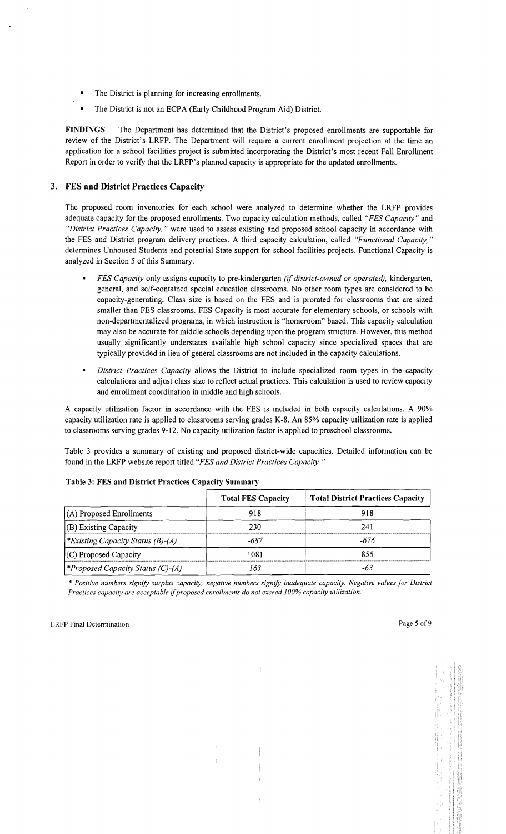- The District is planning for increasing enrollments.
- The District is not an ECPA (Early Childhood Program Aid) District.

FINDINGS The Department has determined that the District's proposed enrollments are supportable for review of the District's LRFP. The Department will require a current enrollment projection at the time an application for a school facilities project is submitted incorporating the District's most recent Fall Enrollment Report in order to verify that the LRFP's planned capacity is appropriate for the updated enrollments.

## 3. FES and District Practices Capacity

The proposed room inventories for each school were analyzed to determine whether the LRFP provides adequate capacity for the proposed enrollments. Two capacity calculation methods, called *"FES Capacity"* and *"District Practices Capacity,* " were used to assess existing and proposed school capacity in accordance with the FES and District program delivery practices. A third capacity calculation, called *"Functional Capacity, "*  determines Unhoused Students and potential State support for school facilities projects. Functional Capacity is analyzed in Section 5 of this Summary.

- *FES Capacity* only assigns capacity to pre-kindergarten *(if district-owned or operated),* kindergarten, general, and self-contained special education classrooms. No other room types are considered to be capacity-generating. Class size is based on the FES and is prorated for classrooms that are sized smaller than FES classrooms. FES Capacity is most accurate for elementary schools, or schools with non-departmentalized programs, in which instruction is "homeroom" based. This capacity calculation may also be accurate for middle schools depending upon the program structure. However, this method usually significantly understates available high school capacity since specialized spaces that are typically provided in lieu of general classrooms are not included in the capacity calculations.
- *District Practices Capacity allows the District to include specialized room types in the capacity* calculations and adjust class size to reflect actual practices. This calculation is used to review capacity and enrollment coordination in middle and high schools.

A capacity utilization factor in accordance with the FES is included in both capacity calculations. A 90% capacity utilization rate is applied to classrooms serving grades K-8. An 85% capacity utilization rate is applied to classrooms serving grades 9-12. No capacity utilization factor is applied to preschool classrooms.

Table 3 provides a summary of existing and proposed district-wide capacities. Detailed information can be found in the LRFP website report titled *"FES and District Practices Capacity. "* 

|                                         | <b>Total FES Capacity</b> | <b>Total District Practices Capacity</b> |
|-----------------------------------------|---------------------------|------------------------------------------|
| $(A)$ Proposed Enrollments              | 918                       | 918                                      |
| (B) Existing Capacity                   | 230                       | 241                                      |
| *Existing Capacity Status $(B)$ - $(A)$ | -687                      | -676                                     |
| $(C)$ Proposed Capacity                 | 1081                      | 855                                      |
| (C)-(A) *Proposed Capacity Status (C)-  | 163                       |                                          |

## Table 3: FES and District Practices Capacity Summary

\* *Positive numbers signify surplus capacity, negative numbers signify inadequate capacity. Negative values for District Practices capacity are acceptable* if*proposed enrollments do not exceed 100% capacity utilization.*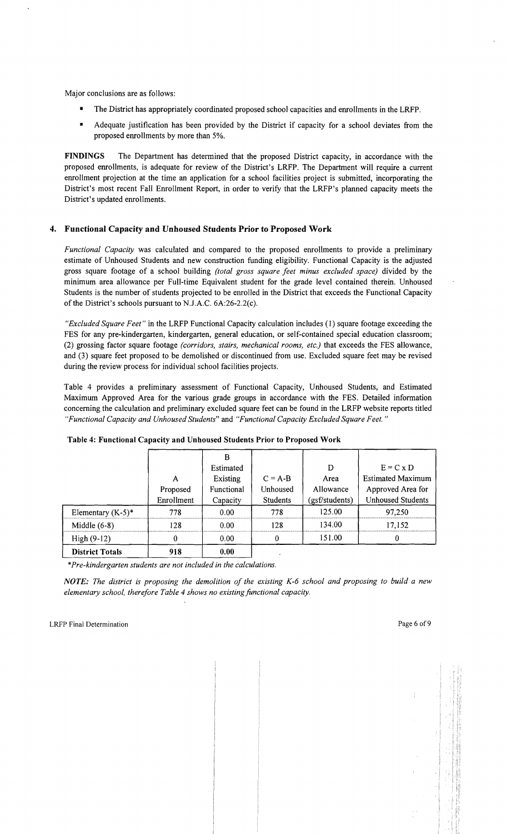Major conclusions are as follows:

- The District has appropriately coordinated proposed school capacities and enrollments in the LRFP.
- Adequate justification has been provided by the District if capacity for a school deviates from the proposed enrollments by more than 5%.

FINDINGS The Department has determined that the proposed District capacity, in accordance with the proposed enrollments, is adequate for review of the District's LRFP. The Department will require a current enrollment projection at the time an application for a school facilities project is submitted, incorporating the District's most recent Fall Enrollment Report, in order to verify that the LRFP's planned capacity meets the District's updated enrollments.

## 4. Functional Capacity and Unhoused Students Prior to Proposed Work

*Functional Capacity* was calculated and compared to the proposed enrollments to provide a preliminary estimate of Unhoused Students and new construction funding eligibility. Functional Capacity is the adjusted gross square footage of a school building *(total gross square feet minus excluded space)* divided by the minimum area allowance per Full-time Equivalent student for the grade level contained therein. Unhoused Students is the number of students projected to be enrolled in the District that exceeds the Functional Capacity of the District's schools pursuant to N.J.A.C. 6A:26-2.2(c).

*"Excluded Square Feet"* in the LRFP Functional Capacity calculation includes (1) square footage exceeding the FES for any pre-kindergarten, kindergarten, general education, or self-contained special education classroom; (2) grossing factor square footage *(corridors, stairs, mechanical rooms, etc.)* that exceeds the FES allowance, and (3) square feet proposed to be demolished or discontinued from use. Excluded square feet may be revised during the review process for individual school facilities projects.

Table 4 provides a preliminary assessment of Functional Capacity, Unhoused Students, and Estimated Maximum Approved Area for the various grade groups in accordance with the FES. Detailed information concerning the calculation and preliminary excluded square feet can be found in the LRFP website reports titled *"Functional Capacity and Unhoused Students"* and *"Functional Capacity Excluded Square Feet. "* 

|                        | A<br>Proposed<br>Enrollment | Estimated<br>Existing<br>Functional<br>Capacity | $C = A-B$<br>Unhoused<br>Students | D<br>Area<br>Allowance<br>(gsf/students) | $E = C \times D$<br><b>Estimated Maximum</b><br>Approved Area for<br><b>Unhoused Students</b> |
|------------------------|-----------------------------|-------------------------------------------------|-----------------------------------|------------------------------------------|-----------------------------------------------------------------------------------------------|
| Elementary $(K-5)^*$   | 778                         | 0.00                                            | 778                               | 125.00                                   | 97,250                                                                                        |
| Middle $(6-8)$         | 128                         | 0.00                                            | 128                               | 134.00                                   | 17,152                                                                                        |
| High (9-12)            | 0                           | 0.00                                            | 0                                 | 151.00                                   |                                                                                               |
| <b>District Totals</b> | 918                         | 0.00                                            |                                   |                                          |                                                                                               |

## Table 4: Functional Capacity and Unhoused Students Prior to Proposed Work

\**Pre-kindergarten students are not included in the calculations.* 

NOTE: *The district is proposing the demolition of the existing K-6 school and proposing to build a new elementary school, therefore Table* 4 *shows no existingfunctional capacity.*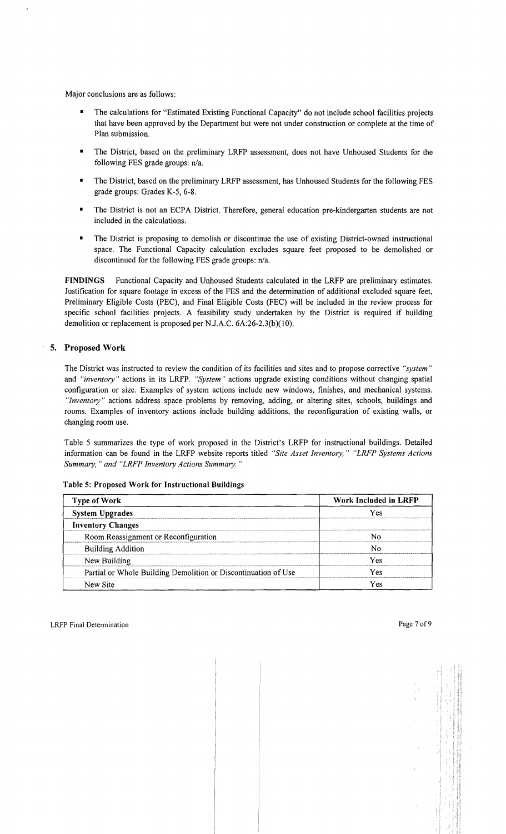Major conclusions are as follows:

- The calculations for "Estimated Existing Functional Capacity" do not include school facilities projects that have been approved by the Department but were not under construction or complete at the time of Plan submission.
- The District, based on the preliminary LRFP assessment, does not have Unhoused Students for the following FES grade groups: n/a.
- The District, based on the preliminary LRFP assessment, has Unhoused Students for the following FES grade groups: Grades K~5, 6-8.
- The District is not an ECPA District. Therefore, general education pre-kindergarten students are not included in the calculations.
- The District is proposing to demolish or discontinue the use of existing District-owned instructional space. The Functional Capacity calculation excludes square feet proposed to be demolished or discontinued for the following FES grade groups: n/a.

FINDINGS Functional Capacity and Unhoused Students calculated in the LRFP are preliminary estimates. Justification for square footage in excess of the FES and the determination of additional excluded square feet, Preliminary Eligible Costs (PEC), and Final Eligible Costs (FEC) will be included in the review process for specific school facilities projects. A feasibility study undertaken by the District is required if building demolition or replacement is proposed per N.J.A.C. 6A:26-2.3(b)(10).

## , 5. Proposed Work

The District was instructed to review the condition of its facilities and sites and to propose corrective *"system"*  and *"inventory"* actions in its LRFP. *"System"* actions upgrade existing conditions without changing spatial configuration or size. Examples of system actions include new windows, finishes, and mechanical systems. *"Inventory"* actions address space problems by removing, adding, or altering sites, schools, buildings and rooms. Examples of inventory actions include building additions, the reconfiguration of existing walls, or changing room use.

Table 5 summarizes the type of work proposed in the District's LRFP for instructional buildings. Detailed information can be found in the LRFP website reports titled *"Site Asset Inventory," "LRFP Systems Actions Summary,* " *and "LRFP Inventory Actions Summary. "* 

| <b>Type of Work</b>                                            | Work Included in LRFP |  |  |
|----------------------------------------------------------------|-----------------------|--|--|
| <b>System Upgrades</b>                                         | Yes                   |  |  |
| <b>Inventory Changes</b>                                       |                       |  |  |
| Room Reassignment or Reconfiguration                           |                       |  |  |
| <b>Building Addition</b>                                       | N٥                    |  |  |
| New Building                                                   | Yes                   |  |  |
| Partial or Whole Building Demolition or Discontinuation of Use | /es                   |  |  |
| New Site                                                       | Y es                  |  |  |

Table 5: Proposed Work for Instructional Buildings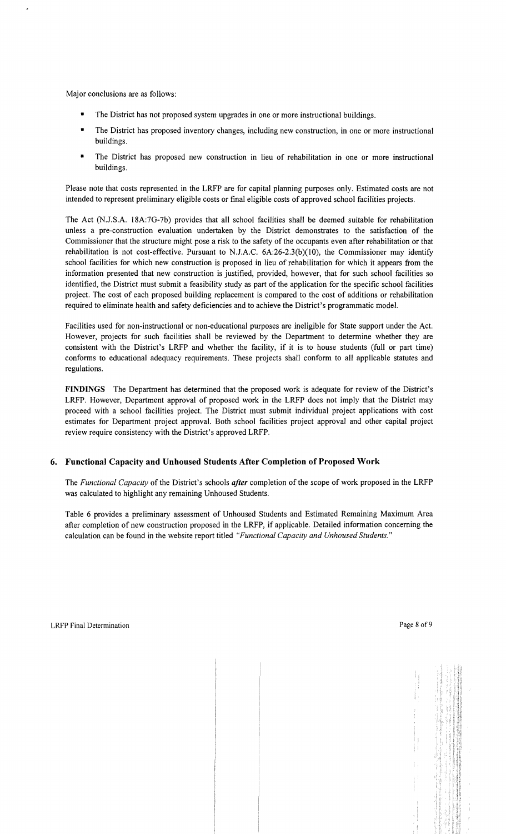Major conclusions are as follows:

- The District has not proposed system upgrades in one or more instructional buildings.
- The District has proposed inventory changes, including new construction, in one or more instructional buildings.
- The District has proposed new construction in lieu of rehabilitation in one or more instructional buildings.

Please note that costs represented in the LRFP are for capital planning purposes only. Estimated costs are not intended to represent preliminary eligible costs or final eligible costs of approved school facilities projects.

The Act (NJ.S.A. 18A:7G-7b) provides that all school facilities shall be deemed suitable for rehabilitation unless a pre-construction evaluation undertaken by the District demonstrates to the satisfaction of the Commissioner that the structure might pose a risk to the safety of the occupants even after rehabilitation or that rehabilitation is not cost-effective. Pursuant to N.J.A.C.  $6A:26-2.3(b)(10)$ , the Commissioner may identify school facilities for which new construction is proposed in lieu of rehabilitation for which it appears from the information presented that new construction is justified, provided, however, that for such school facilities so identified, the District must submit a feasibility study as part of the application for the specific school facilities project. The cost of each proposed building replacement is compared to the cost of additions or rehabilitation required to eliminate health and safety deficiencies and to achieve the District's programmatic model.

Facilities used for non-instructional or non-educational purposes are ineligible for State support under the Act. However, projects for such facilities shall be reviewed by the Department to determine whether they are consistent with the District's LRFP and whether the facility, if it is to house students (full or part time) conforms to educational adequacy requirements. These projects shall conform to all applicable statutes and regulations.

FINDINGS The Department has determined that the proposed work is adequate for review of the District's LRFP. However, Department approval of proposed work in the LRFP does not imply that the District may proceed with a school facilities project. The District must submit individual project applications with cost estimates for Department project approval. Both school facilities project approval and other capital project review require consistency with the District's approved LRFP.

## 6. Functional Capacity and Unhoused Students After Completion of Proposed Work

The *Functional Capacity* of the District's schools *after* completion of the scope of work proposed in the LRFP was calculated to highlight any remaining Unhoused Students.

Table 6 provides a preliminary assessment of Unhoused Students and Estimated Remaining Maximum Area after completion of new construction proposed in the LRFP, if applicable. Detailed information concerning the calculation can be found in the website report titled *"Functional Capacity and Unhoused Students."*